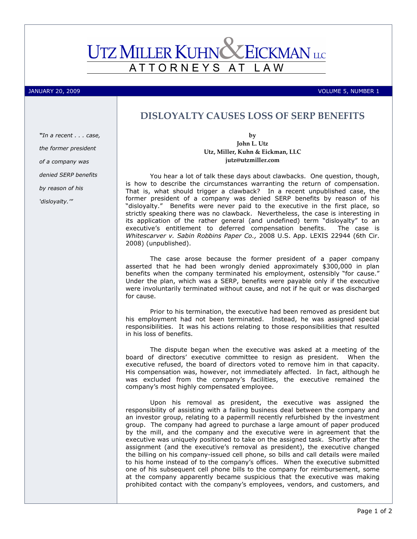## **EICKMAN** LLC **UTZ MILLER KUHNC** ATTORNEYS AT L A W

JANUARY 20, 2009 VOLUME 5, NUMBER 1

## DISLOYALTY CAUSES LOSS OF SERP BENEFITS

"In a recent . . . case, the former president of a company was denied SERP benefits by reason of his 'disloyalty.'"

by John L. Utz Utz, Miller, Kuhn & Eickman, LLC jutz@utzmiller.com

You hear a lot of talk these days about clawbacks. One question, though, is how to describe the circumstances warranting the return of compensation. That is, what should trigger a clawback? In a recent unpublished case, the former president of a company was denied SERP benefits by reason of his "disloyalty." Benefits were never paid to the executive in the first place, so strictly speaking there was no clawback. Nevertheless, the case is interesting in its application of the rather general (and undefined) term "disloyalty" to an executive's entitlement to deferred compensation benefits. The case is Whitescarver v. Sabin Robbins Paper Co., 2008 U.S. App. LEXIS 22944 (6th Cir. 2008) (unpublished).

The case arose because the former president of a paper company asserted that he had been wrongly denied approximately \$300,000 in plan benefits when the company terminated his employment, ostensibly "for cause." Under the plan, which was a SERP, benefits were payable only if the executive were involuntarily terminated without cause, and not if he quit or was discharged for cause.

Prior to his termination, the executive had been removed as president but his employment had not been terminated. Instead, he was assigned special responsibilities. It was his actions relating to those responsibilities that resulted in his loss of benefits.

The dispute began when the executive was asked at a meeting of the board of directors' executive committee to resign as president. When the executive refused, the board of directors voted to remove him in that capacity. His compensation was, however, not immediately affected. In fact, although he was excluded from the company's facilities, the executive remained the company's most highly compensated employee.

Upon his removal as president, the executive was assigned the responsibility of assisting with a failing business deal between the company and an investor group, relating to a papermill recently refurbished by the investment group. The company had agreed to purchase a large amount of paper produced by the mill, and the company and the executive were in agreement that the executive was uniquely positioned to take on the assigned task. Shortly after the assignment (and the executive's removal as president), the executive changed the billing on his company-issued cell phone, so bills and call details were mailed to his home instead of to the company's offices. When the executive submitted one of his subsequent cell phone bills to the company for reimbursement, some at the company apparently became suspicious that the executive was making prohibited contact with the company's employees, vendors, and customers, and